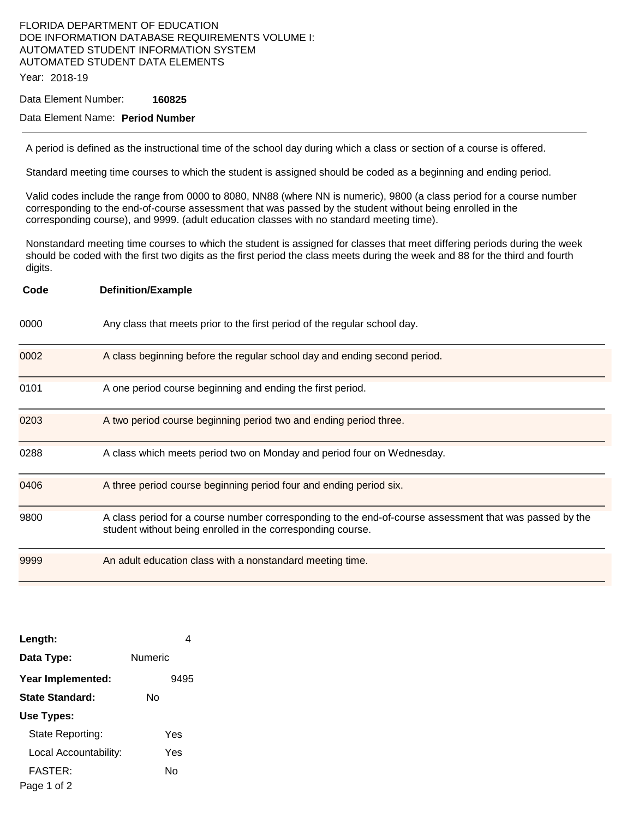#### FLORIDA DEPARTMENT OF EDUCATION DOE INFORMATION DATABASE REQUIREMENTS VOLUME I: AUTOMATED STUDENT INFORMATION SYSTEM AUTOMATED STUDENT DATA ELEMENTS Year: 2018-19

Data Element Number: **160825** 

### Data Element Name: **Period Number**

A period is defined as the instructional time of the school day during which a class or section of a course is offered.

Standard meeting time courses to which the student is assigned should be coded as a beginning and ending period.

Valid codes include the range from 0000 to 8080, NN88 (where NN is numeric), 9800 (a class period for a course number corresponding to the end-of-course assessment that was passed by the student without being enrolled in the corresponding course), and 9999. (adult education classes with no standard meeting time).

Nonstandard meeting time courses to which the student is assigned for classes that meet differing periods during the week should be coded with the first two digits as the first period the class meets during the week and 88 for the third and fourth digits.

| Code | <b>Definition/Example</b>                                                                                                                                              |
|------|------------------------------------------------------------------------------------------------------------------------------------------------------------------------|
| 0000 | Any class that meets prior to the first period of the regular school day.                                                                                              |
| 0002 | A class beginning before the regular school day and ending second period.                                                                                              |
| 0101 | A one period course beginning and ending the first period.                                                                                                             |
| 0203 | A two period course beginning period two and ending period three.                                                                                                      |
| 0288 | A class which meets period two on Monday and period four on Wednesday.                                                                                                 |
| 0406 | A three period course beginning period four and ending period six.                                                                                                     |
| 9800 | A class period for a course number corresponding to the end-of-course assessment that was passed by the<br>student without being enrolled in the corresponding course. |
| 9999 | An adult education class with a nonstandard meeting time.                                                                                                              |

| Length:               | 4       |  |  |  |
|-----------------------|---------|--|--|--|
| Data Type:            | Numeric |  |  |  |
| Year Implemented:     | 9495    |  |  |  |
| State Standard:       | N٥      |  |  |  |
| Use Types:            |         |  |  |  |
| State Reporting:      | Yes     |  |  |  |
| Local Accountability: | Yes     |  |  |  |
| FASTFR·               | N٥      |  |  |  |
| Page 1 of 2           |         |  |  |  |